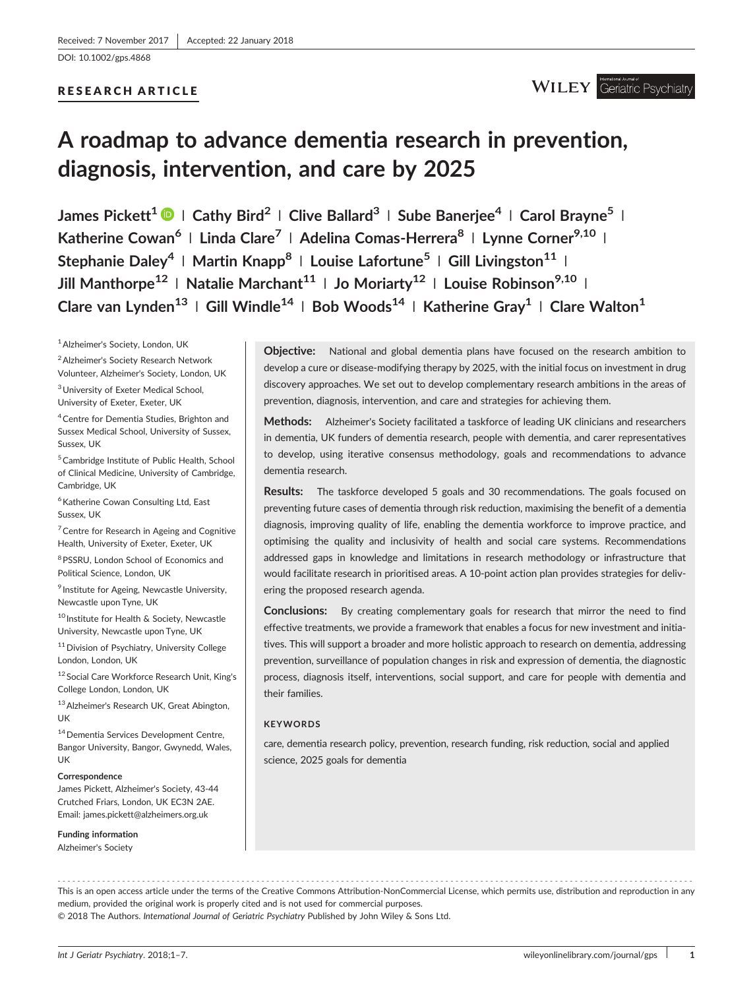[DOI: 10.1002/gps.4868](https://doi.org/10.1002/gps.4868)

# RESEARCH ARTICLE

**WILEY** Geriatric Psychiatry

# **A roadmap to advance dementia research in prevention, diagnosis, intervention, and care by 2025**

**James Pickett1 <sup>|</sup> Cathy Bird<sup>2</sup> <sup>|</sup> Clive Ballard3 <sup>|</sup> Sube Banerjee<sup>4</sup> <sup>|</sup> Carol Brayne5 <sup>|</sup> Katherine Cowan6 <sup>|</sup> Linda Clare<sup>7</sup> <sup>|</sup> Adelina Comas‐Herrera8 <sup>|</sup> Lynne Corner9,10 <sup>|</sup> Stephanie Daley<sup>4</sup> <sup>|</sup> Martin Knapp8 <sup>|</sup> Louise Lafortune<sup>5</sup> <sup>|</sup> Gill Livingston<sup>11</sup> <sup>|</sup> Jill Manthorpe<sup>12</sup> <sup>|</sup> Natalie Marchant11 <sup>|</sup> Jo Moriarty12 <sup>|</sup> Louise Robinson9,10 <sup>|</sup> Clare van Lynden<sup>13</sup> <sup>|</sup> Gill Windle14 <sup>|</sup> Bob Woods<sup>14</sup> <sup>|</sup> Katherine Gray<sup>1</sup> <sup>|</sup> Clare Walton1**

1Alzheimer's Society, London, UK

2Alzheimer's Society Research Network

Volunteer, Alzheimer's Society, London, UK

3University of Exeter Medical School, University of Exeter, Exeter, UK

<sup>4</sup> Centre for Dementia Studies, Brighton and Sussex Medical School, University of Sussex, Sussex, UK

5Cambridge Institute of Public Health, School of Clinical Medicine, University of Cambridge, Cambridge, UK

 $<sup>6</sup>$  Katherine Cowan Consulting Ltd, East</sup> Sussex, UK

<sup>7</sup> Centre for Research in Ageing and Cognitive Health, University of Exeter, Exeter, UK

8PSSRU, London School of Economics and Political Science, London, UK

<sup>9</sup> Institute for Ageing, Newcastle University, Newcastle upon Tyne, UK

<sup>10</sup> Institute for Health & Society, Newcastle University, Newcastle upon Tyne, UK

<sup>11</sup> Division of Psychiatry, University College London, London, UK

<sup>12</sup> Social Care Workforce Research Unit, King's College London, London, UK

13Alzheimer's Research UK, Great Abington, UK

<sup>14</sup> Dementia Services Development Centre, Bangor University, Bangor, Gwynedd, Wales, UK

#### **Correspondence**

James Pickett, Alzheimer's Society, 43‐44 Crutched Friars, London, UK EC3N 2AE. Email: [james.pickett@alzheimers.org.uk](mailto:james.pickett@alzheimers.org.uk)

**Funding information** Alzheimer's Society

**Objective:** National and global dementia plans have focused on the research ambition to develop a cure or disease‐modifying therapy by 2025, with the initial focus on investment in drug discovery approaches. We set out to develop complementary research ambitions in the areas of prevention, diagnosis, intervention, and care and strategies for achieving them.

**Methods:** Alzheimer's Society facilitated a taskforce of leading UK clinicians and researchers in dementia, UK funders of dementia research, people with dementia, and carer representatives to develop, using iterative consensus methodology, goals and recommendations to advance dementia research.

**Results:** The taskforce developed 5 goals and 30 recommendations. The goals focused on preventing future cases of dementia through risk reduction, maximising the benefit of a dementia diagnosis, improving quality of life, enabling the dementia workforce to improve practice, and optimising the quality and inclusivity of health and social care systems. Recommendations addressed gaps in knowledge and limitations in research methodology or infrastructure that would facilitate research in prioritised areas. A 10‐point action plan provides strategies for delivering the proposed research agenda.

**Conclusions:** By creating complementary goals for research that mirror the need to find effective treatments, we provide a framework that enables a focus for new investment and initiatives. This will support a broader and more holistic approach to research on dementia, addressing prevention, surveillance of population changes in risk and expression of dementia, the diagnostic process, diagnosis itself, interventions, social support, and care for people with dementia and their families.

#### **KEYWORDS**

care, dementia research policy, prevention, research funding, risk reduction, social and applied science, 2025 goals for dementia

------------------------------------------------------------------------------------------------------------------------------- - This is an open access article under the terms of the [Creative Commons Attribution](http://creativecommons.org/licenses/by-nc/4.0/)‐NonCommercial License, which permits use, distribution and reproduction in any medium, provided the original work is properly cited and is not used for commercial purposes. © 2018 The Authors. *International Journal of Geriatric Psychiatry* Published by John Wiley & Sons Ltd.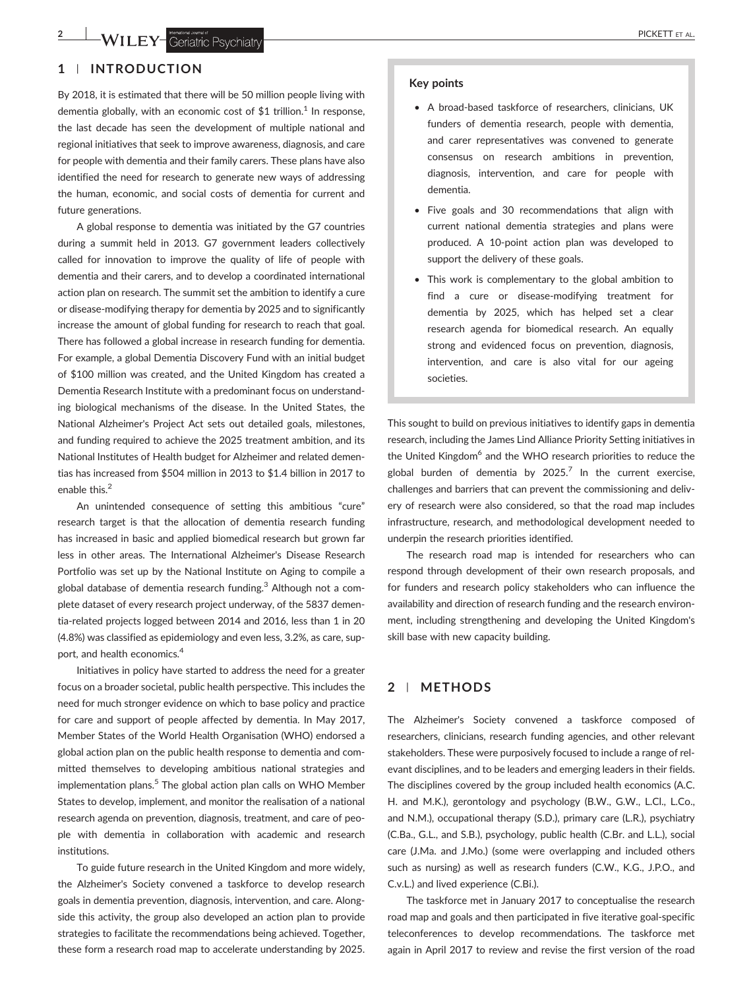# **1** | **INTRODUCTION**

By 2018, it is estimated that there will be 50 million people living with dementia globally, with an economic cost of \$1 trillion.<sup>1</sup> In response, the last decade has seen the development of multiple national and regional initiatives that seek to improve awareness, diagnosis, and care for people with dementia and their family carers. These plans have also identified the need for research to generate new ways of addressing the human, economic, and social costs of dementia for current and future generations.

A global response to dementia was initiated by the G7 countries during a summit held in 2013. G7 government leaders collectively called for innovation to improve the quality of life of people with dementia and their carers, and to develop a coordinated international action plan on research. The summit set the ambition to identify a cure or disease‐modifying therapy for dementia by 2025 and to significantly increase the amount of global funding for research to reach that goal. There has followed a global increase in research funding for dementia. For example, a global Dementia Discovery Fund with an initial budget of \$100 million was created, and the United Kingdom has created a Dementia Research Institute with a predominant focus on understanding biological mechanisms of the disease. In the United States, the National Alzheimer's Project Act sets out detailed goals, milestones, and funding required to achieve the 2025 treatment ambition, and its National Institutes of Health budget for Alzheimer and related dementias has increased from \$504 million in 2013 to \$1.4 billion in 2017 to enable this.<sup>2</sup>

An unintended consequence of setting this ambitious "cure" research target is that the allocation of dementia research funding has increased in basic and applied biomedical research but grown far less in other areas. The International Alzheimer's Disease Research Portfolio was set up by the National Institute on Aging to compile a global database of dementia research funding.<sup>3</sup> Although not a complete dataset of every research project underway, of the 5837 dementia‐related projects logged between 2014 and 2016, less than 1 in 20 (4.8%) was classified as epidemiology and even less, 3.2%, as care, support, and health economics.4

Initiatives in policy have started to address the need for a greater focus on a broader societal, public health perspective. This includes the need for much stronger evidence on which to base policy and practice for care and support of people affected by dementia. In May 2017, Member States of the World Health Organisation (WHO) endorsed a global action plan on the public health response to dementia and committed themselves to developing ambitious national strategies and implementation plans.<sup>5</sup> The global action plan calls on WHO Member States to develop, implement, and monitor the realisation of a national research agenda on prevention, diagnosis, treatment, and care of people with dementia in collaboration with academic and research institutions.

To guide future research in the United Kingdom and more widely, the Alzheimer's Society convened a taskforce to develop research goals in dementia prevention, diagnosis, intervention, and care. Alongside this activity, the group also developed an action plan to provide strategies to facilitate the recommendations being achieved. Together, these form a research road map to accelerate understanding by 2025.

#### **Key points**

- A broad‐based taskforce of researchers, clinicians, UK funders of dementia research, people with dementia, and carer representatives was convened to generate consensus on research ambitions in prevention, diagnosis, intervention, and care for people with dementia.
- Five goals and 30 recommendations that align with current national dementia strategies and plans were produced. A 10‐point action plan was developed to support the delivery of these goals.
- This work is complementary to the global ambition to find a cure or disease-modifying treatment for dementia by 2025, which has helped set a clear research agenda for biomedical research. An equally strong and evidenced focus on prevention, diagnosis, intervention, and care is also vital for our ageing societies.

This sought to build on previous initiatives to identify gaps in dementia research, including the James Lind Alliance Priority Setting initiatives in the United Kingdom<sup>6</sup> and the WHO research priorities to reduce the global burden of dementia by  $2025$ .<sup>7</sup> In the current exercise, challenges and barriers that can prevent the commissioning and delivery of research were also considered, so that the road map includes infrastructure, research, and methodological development needed to underpin the research priorities identified.

The research road map is intended for researchers who can respond through development of their own research proposals, and for funders and research policy stakeholders who can influence the availability and direction of research funding and the research environment, including strengthening and developing the United Kingdom's skill base with new capacity building.

# **2** | **METHODS**

The Alzheimer's Society convened a taskforce composed of researchers, clinicians, research funding agencies, and other relevant stakeholders. These were purposively focused to include a range of relevant disciplines, and to be leaders and emerging leaders in their fields. The disciplines covered by the group included health economics (A.C. H. and M.K.), gerontology and psychology (B.W., G.W., L.Cl., L.Co., and N.M.), occupational therapy (S.D.), primary care (L.R.), psychiatry (C.Ba., G.L., and S.B.), psychology, public health (C.Br. and L.L.), social care (J.Ma. and J.Mo.) (some were overlapping and included others such as nursing) as well as research funders (C.W., K.G., J.P.O., and C.v.L.) and lived experience (C.Bi.).

The taskforce met in January 2017 to conceptualise the research road map and goals and then participated in five iterative goal‐specific teleconferences to develop recommendations. The taskforce met again in April 2017 to review and revise the first version of the road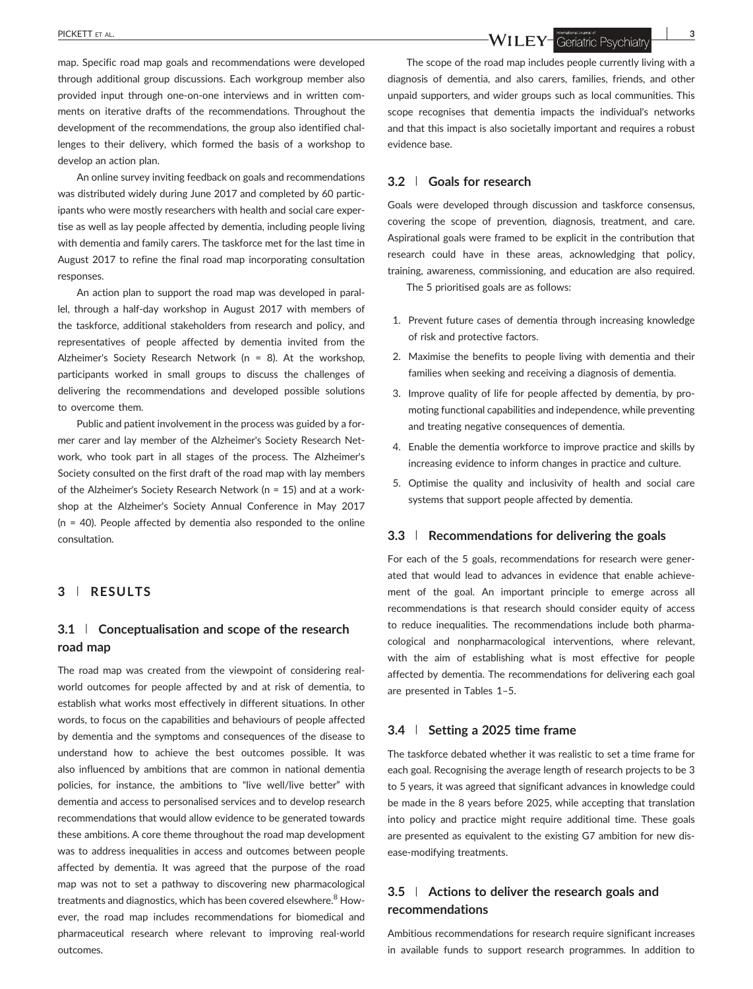map. Specific road map goals and recommendations were developed through additional group discussions. Each workgroup member also provided input through one‐on‐one interviews and in written comments on iterative drafts of the recommendations. Throughout the development of the recommendations, the group also identified challenges to their delivery, which formed the basis of a workshop to develop an action plan.

An online survey inviting feedback on goals and recommendations was distributed widely during June 2017 and completed by 60 participants who were mostly researchers with health and social care expertise as well as lay people affected by dementia, including people living with dementia and family carers. The taskforce met for the last time in August 2017 to refine the final road map incorporating consultation responses.

An action plan to support the road map was developed in parallel, through a half‐day workshop in August 2017 with members of the taskforce, additional stakeholders from research and policy, and representatives of people affected by dementia invited from the Alzheimer's Society Research Network ( $n = 8$ ). At the workshop, participants worked in small groups to discuss the challenges of delivering the recommendations and developed possible solutions to overcome them.

Public and patient involvement in the process was guided by a former carer and lay member of the Alzheimer's Society Research Network, who took part in all stages of the process. The Alzheimer's Society consulted on the first draft of the road map with lay members of the Alzheimer's Society Research Network (n = 15) and at a workshop at the Alzheimer's Society Annual Conference in May 2017 (n = 40). People affected by dementia also responded to the online consultation.

#### **3** | **RESULTS**

# **3.1** | **Conceptualisation and scope of the research road map**

The road map was created from the viewpoint of considering real‐ world outcomes for people affected by and at risk of dementia, to establish what works most effectively in different situations. In other words, to focus on the capabilities and behaviours of people affected by dementia and the symptoms and consequences of the disease to understand how to achieve the best outcomes possible. It was also influenced by ambitions that are common in national dementia policies, for instance, the ambitions to "live well/live better" with dementia and access to personalised services and to develop research recommendations that would allow evidence to be generated towards these ambitions. A core theme throughout the road map development was to address inequalities in access and outcomes between people affected by dementia. It was agreed that the purpose of the road map was not to set a pathway to discovering new pharmacological treatments and diagnostics, which has been covered elsewhere.<sup>8</sup> However, the road map includes recommendations for biomedical and pharmaceutical research where relevant to improving real‐world outcomes.

PICKETT ET AL. **3**<br>**3 WILEY** Geriatric Psychiatry **3** 

The scope of the road map includes people currently living with a diagnosis of dementia, and also carers, families, friends, and other unpaid supporters, and wider groups such as local communities. This scope recognises that dementia impacts the individual's networks and that this impact is also societally important and requires a robust evidence base.

## **3.2** | **Goals for research**

Goals were developed through discussion and taskforce consensus, covering the scope of prevention, diagnosis, treatment, and care. Aspirational goals were framed to be explicit in the contribution that research could have in these areas, acknowledging that policy, training, awareness, commissioning, and education are also required.

The 5 prioritised goals are as follows:

- 1. Prevent future cases of dementia through increasing knowledge of risk and protective factors.
- 2. Maximise the benefits to people living with dementia and their families when seeking and receiving a diagnosis of dementia.
- 3. Improve quality of life for people affected by dementia, by promoting functional capabilities and independence, while preventing and treating negative consequences of dementia.
- 4. Enable the dementia workforce to improve practice and skills by increasing evidence to inform changes in practice and culture.
- 5. Optimise the quality and inclusivity of health and social care systems that support people affected by dementia.

#### **3.3** | **Recommendations for delivering the goals**

For each of the 5 goals, recommendations for research were generated that would lead to advances in evidence that enable achievement of the goal. An important principle to emerge across all recommendations is that research should consider equity of access to reduce inequalities. The recommendations include both pharmacological and nonpharmacological interventions, where relevant, with the aim of establishing what is most effective for people affected by dementia. The recommendations for delivering each goal are presented in Tables 1–5.

### **3.4** | **Setting a 2025 time frame**

The taskforce debated whether it was realistic to set a time frame for each goal. Recognising the average length of research projects to be 3 to 5 years, it was agreed that significant advances in knowledge could be made in the 8 years before 2025, while accepting that translation into policy and practice might require additional time. These goals are presented as equivalent to the existing G7 ambition for new disease‐modifying treatments.

# **3.5** | **Actions to deliver the research goals and recommendations**

Ambitious recommendations for research require significant increases in available funds to support research programmes. In addition to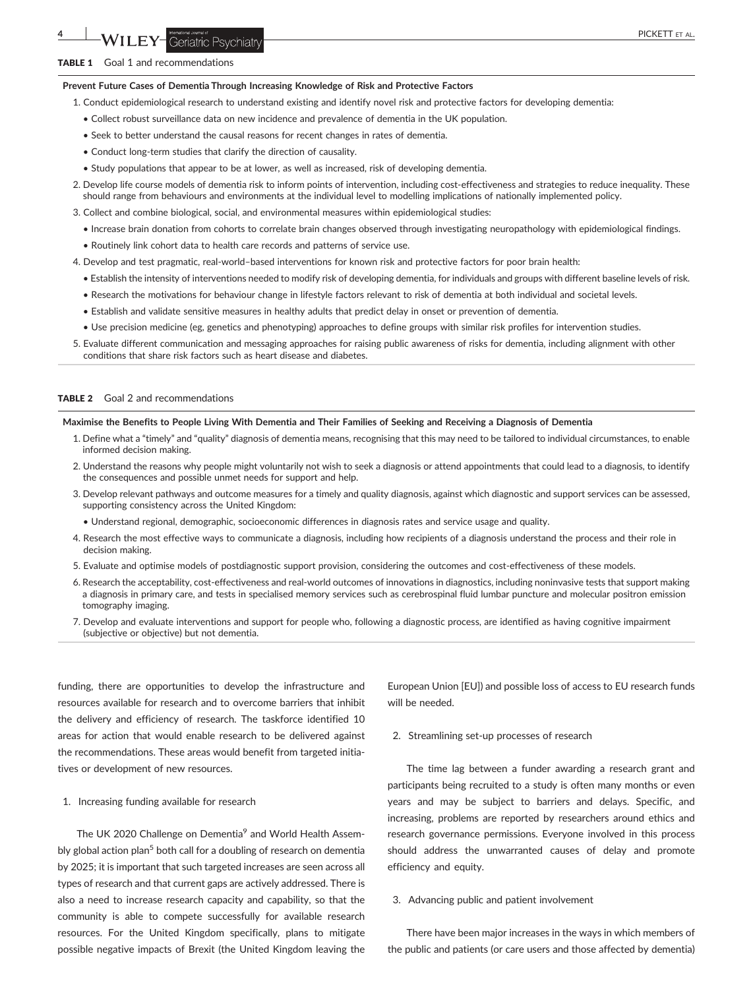#### TABLE 1 Goal 1 and recommendations

#### **Prevent Future Cases of Dementia Through Increasing Knowledge of Risk and Protective Factors**

- 1. Conduct epidemiological research to understand existing and identify novel risk and protective factors for developing dementia:
	- Collect robust surveillance data on new incidence and prevalence of dementia in the UK population.
	- Seek to better understand the causal reasons for recent changes in rates of dementia.
	- Conduct long‐term studies that clarify the direction of causality.
	- Study populations that appear to be at lower, as well as increased, risk of developing dementia.
- 2. Develop life course models of dementia risk to inform points of intervention, including cost-effectiveness and strategies to reduce inequality. These should range from behaviours and environments at the individual level to modelling implications of nationally implemented policy.
- 3. Collect and combine biological, social, and environmental measures within epidemiological studies:
	- Increase brain donation from cohorts to correlate brain changes observed through investigating neuropathology with epidemiological findings.
	- Routinely link cohort data to health care records and patterns of service use.
- 4. Develop and test pragmatic, real‐world–based interventions for known risk and protective factors for poor brain health:
	- Establish the intensity of interventions needed to modify risk of developing dementia, for individuals and groups with different baseline levels of risk.
	- Research the motivations for behaviour change in lifestyle factors relevant to risk of dementia at both individual and societal levels.
	- Establish and validate sensitive measures in healthy adults that predict delay in onset or prevention of dementia.
	- Use precision medicine (eg, genetics and phenotyping) approaches to define groups with similar risk profiles for intervention studies.
- 5. Evaluate different communication and messaging approaches for raising public awareness of risks for dementia, including alignment with other conditions that share risk factors such as heart disease and diabetes.

#### **TABLE 2** Goal 2 and recommendations

#### **Maximise the Benefits to People Living With Dementia and Their Families of Seeking and Receiving a Diagnosis of Dementia**

- 1. Define what a "timely" and "quality" diagnosis of dementia means, recognising that this may need to be tailored to individual circumstances, to enable informed decision making.
- 2. Understand the reasons why people might voluntarily not wish to seek a diagnosis or attend appointments that could lead to a diagnosis, to identify the consequences and possible unmet needs for support and help.
- 3. Develop relevant pathways and outcome measures for a timely and quality diagnosis, against which diagnostic and support services can be assessed, supporting consistency across the United Kingdom:
	- Understand regional, demographic, socioeconomic differences in diagnosis rates and service usage and quality.
- 4. Research the most effective ways to communicate a diagnosis, including how recipients of a diagnosis understand the process and their role in decision making.
- 5. Evaluate and optimise models of postdiagnostic support provision, considering the outcomes and cost-effectiveness of these models.
- 6. Research the acceptability, cost‐effectiveness and real‐world outcomes of innovations in diagnostics, including noninvasive tests that support making a diagnosis in primary care, and tests in specialised memory services such as cerebrospinal fluid lumbar puncture and molecular positron emission tomography imaging.
- 7. Develop and evaluate interventions and support for people who, following a diagnostic process, are identified as having cognitive impairment (subjective or objective) but not dementia.

funding, there are opportunities to develop the infrastructure and resources available for research and to overcome barriers that inhibit the delivery and efficiency of research. The taskforce identified 10 areas for action that would enable research to be delivered against the recommendations. These areas would benefit from targeted initiatives or development of new resources.

1. Increasing funding available for research

The UK 2020 Challenge on Dementia<sup>9</sup> and World Health Assembly global action plan<sup>5</sup> both call for a doubling of research on dementia by 2025; it is important that such targeted increases are seen across all types of research and that current gaps are actively addressed. There is also a need to increase research capacity and capability, so that the community is able to compete successfully for available research resources. For the United Kingdom specifically, plans to mitigate possible negative impacts of Brexit (the United Kingdom leaving the

European Union [EU]) and possible loss of access to EU research funds will be needed.

2. Streamlining set‐up processes of research

The time lag between a funder awarding a research grant and participants being recruited to a study is often many months or even years and may be subject to barriers and delays. Specific, and increasing, problems are reported by researchers around ethics and research governance permissions. Everyone involved in this process should address the unwarranted causes of delay and promote efficiency and equity.

#### 3. Advancing public and patient involvement

There have been major increases in the ways in which members of the public and patients (or care users and those affected by dementia)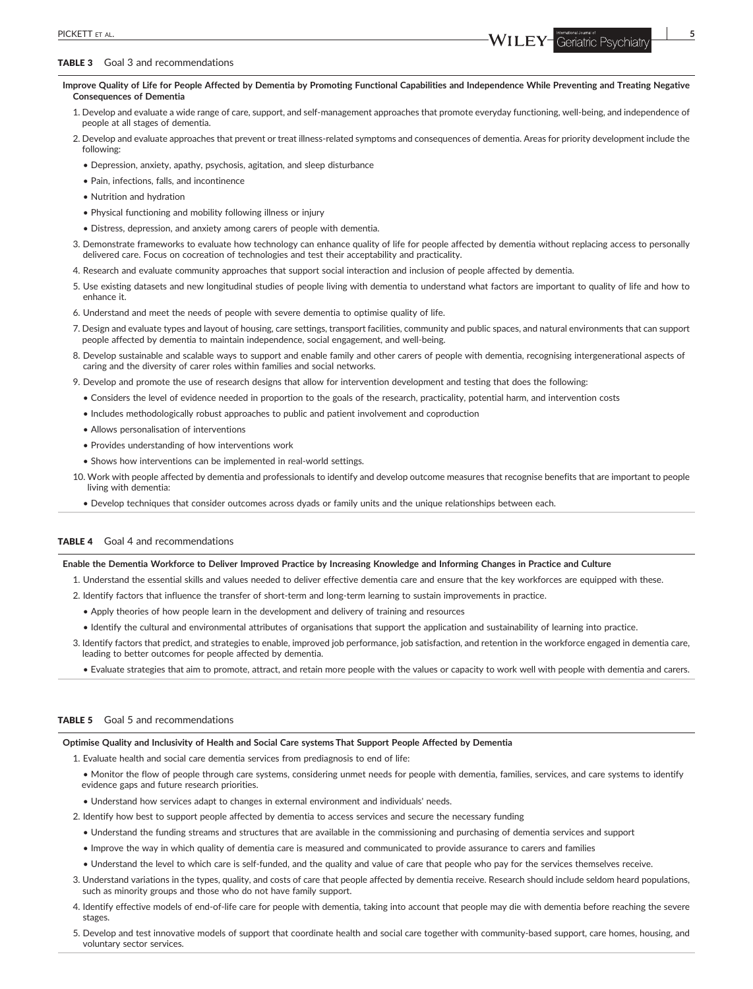#### TABLE 3 Goal 3 and recommendations

**Improve Quality of Life for People Affected by Dementia by Promoting Functional Capabilities and Independence While Preventing and Treating Negative Consequences of Dementia**

- 1. Develop and evaluate a wide range of care, support, and self‐management approaches that promote everyday functioning, well‐being, and independence of people at all stages of dementia.
- 2. Develop and evaluate approaches that prevent or treat illness-related symptoms and consequences of dementia. Areas for priority development include the following:
	- Depression, anxiety, apathy, psychosis, agitation, and sleep disturbance
	- Pain, infections, falls, and incontinence
	- Nutrition and hydration
	- Physical functioning and mobility following illness or injury
	- Distress, depression, and anxiety among carers of people with dementia.
- 3. Demonstrate frameworks to evaluate how technology can enhance quality of life for people affected by dementia without replacing access to personally delivered care. Focus on cocreation of technologies and test their acceptability and practicality.
- 4. Research and evaluate community approaches that support social interaction and inclusion of people affected by dementia.
- 5. Use existing datasets and new longitudinal studies of people living with dementia to understand what factors are important to quality of life and how to enhance it.
- 6. Understand and meet the needs of people with severe dementia to optimise quality of life.
- 7. Design and evaluate types and layout of housing, care settings, transport facilities, community and public spaces, and natural environments that can support people affected by dementia to maintain independence, social engagement, and well‐being.
- 8. Develop sustainable and scalable ways to support and enable family and other carers of people with dementia, recognising intergenerational aspects of caring and the diversity of carer roles within families and social networks.
- 9. Develop and promote the use of research designs that allow for intervention development and testing that does the following:
	- Considers the level of evidence needed in proportion to the goals of the research, practicality, potential harm, and intervention costs
	- Includes methodologically robust approaches to public and patient involvement and coproduction
	- Allows personalisation of interventions
	- Provides understanding of how interventions work
	- Shows how interventions can be implemented in real‐world settings.
- 10. Work with people affected by dementia and professionals to identify and develop outcome measures that recognise benefits that are important to people living with dementia:
	- Develop techniques that consider outcomes across dyads or family units and the unique relationships between each.

#### TABLE 4 Goal 4 and recommendations

#### **Enable the Dementia Workforce to Deliver Improved Practice by Increasing Knowledge and Informing Changes in Practice and Culture**

- 1. Understand the essential skills and values needed to deliver effective dementia care and ensure that the key workforces are equipped with these.
- 2. Identify factors that influence the transfer of short‐term and long‐term learning to sustain improvements in practice.
	- Apply theories of how people learn in the development and delivery of training and resources
	- Identify the cultural and environmental attributes of organisations that support the application and sustainability of learning into practice.
- 3. Identify factors that predict, and strategies to enable, improved job performance, job satisfaction, and retention in the workforce engaged in dementia care, leading to better outcomes for people affected by dementia.
	- Evaluate strategies that aim to promote, attract, and retain more people with the values or capacity to work well with people with dementia and carers.

# TABLE 5 Goal 5 and recommendations

#### **Optimise Quality and Inclusivity of Health and Social Care systems That Support People Affected by Dementia**

1. Evaluate health and social care dementia services from prediagnosis to end of life:

- Monitor the flow of people through care systems, considering unmet needs for people with dementia, families, services, and care systems to identify evidence gaps and future research priorities.
- Understand how services adapt to changes in external environment and individuals' needs.
- 2. Identify how best to support people affected by dementia to access services and secure the necessary funding
	- Understand the funding streams and structures that are available in the commissioning and purchasing of dementia services and support
	- Improve the way in which quality of dementia care is measured and communicated to provide assurance to carers and families
	- Understand the level to which care is self‐funded, and the quality and value of care that people who pay for the services themselves receive.
- 3. Understand variations in the types, quality, and costs of care that people affected by dementia receive. Research should include seldom heard populations, such as minority groups and those who do not have family support.
- 4. Identify effective models of end‐of‐life care for people with dementia, taking into account that people may die with dementia before reaching the severe stages.
- 5. Develop and test innovative models of support that coordinate health and social care together with community-based support, care homes, housing, and voluntary sector services.

PICKETT ET AL.<br>**Since the Conduct of the Conduct of the Conduct of the Conduct of the Conduct of the Conduct of the Conduct of the Conduct of the Conduct of the Conduct of the Conduct of the Conduct of the Conduct of the C**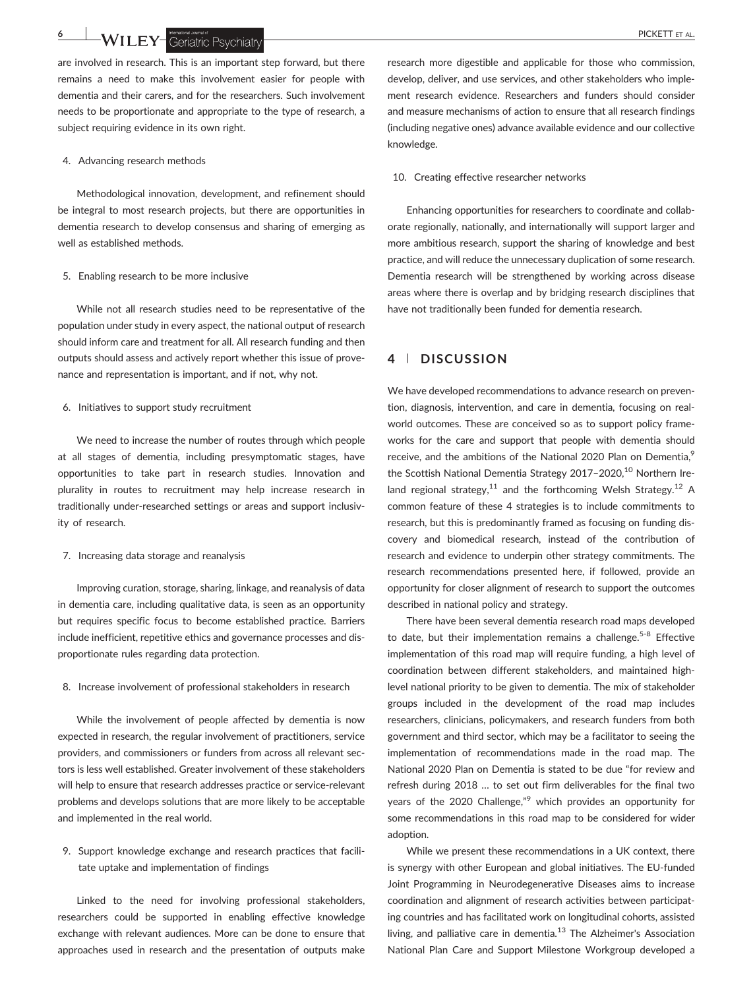**6 WILEY** Geriatric Psychiatry **CONSTRUCTER AL.** 

are involved in research. This is an important step forward, but there remains a need to make this involvement easier for people with dementia and their carers, and for the researchers. Such involvement needs to be proportionate and appropriate to the type of research, a subject requiring evidence in its own right.

#### 4. Advancing research methods

Methodological innovation, development, and refinement should be integral to most research projects, but there are opportunities in dementia research to develop consensus and sharing of emerging as well as established methods.

#### 5. Enabling research to be more inclusive

While not all research studies need to be representative of the population under study in every aspect, the national output of research should inform care and treatment for all. All research funding and then outputs should assess and actively report whether this issue of provenance and representation is important, and if not, why not.

#### 6. Initiatives to support study recruitment

We need to increase the number of routes through which people at all stages of dementia, including presymptomatic stages, have opportunities to take part in research studies. Innovation and plurality in routes to recruitment may help increase research in traditionally under‐researched settings or areas and support inclusivity of research.

#### 7. Increasing data storage and reanalysis

Improving curation, storage, sharing, linkage, and reanalysis of data in dementia care, including qualitative data, is seen as an opportunity but requires specific focus to become established practice. Barriers include inefficient, repetitive ethics and governance processes and disproportionate rules regarding data protection.

#### 8. Increase involvement of professional stakeholders in research

While the involvement of people affected by dementia is now expected in research, the regular involvement of practitioners, service providers, and commissioners or funders from across all relevant sectors is less well established. Greater involvement of these stakeholders will help to ensure that research addresses practice or service-relevant problems and develops solutions that are more likely to be acceptable and implemented in the real world.

9. Support knowledge exchange and research practices that facilitate uptake and implementation of findings

Linked to the need for involving professional stakeholders, researchers could be supported in enabling effective knowledge exchange with relevant audiences. More can be done to ensure that approaches used in research and the presentation of outputs make

research more digestible and applicable for those who commission, develop, deliver, and use services, and other stakeholders who implement research evidence. Researchers and funders should consider and measure mechanisms of action to ensure that all research findings (including negative ones) advance available evidence and our collective knowledge.

#### 10. Creating effective researcher networks

Enhancing opportunities for researchers to coordinate and collaborate regionally, nationally, and internationally will support larger and more ambitious research, support the sharing of knowledge and best practice, and will reduce the unnecessary duplication of some research. Dementia research will be strengthened by working across disease areas where there is overlap and by bridging research disciplines that have not traditionally been funded for dementia research.

# **4** | **DISCUSSION**

We have developed recommendations to advance research on prevention, diagnosis, intervention, and care in dementia, focusing on real‐ world outcomes. These are conceived so as to support policy frameworks for the care and support that people with dementia should receive, and the ambitions of the National 2020 Plan on Dementia,<sup>9</sup> the Scottish National Dementia Strategy 2017-2020,<sup>10</sup> Northern Ireland regional strategy,<sup>11</sup> and the forthcoming Welsh Strategy.<sup>12</sup> A common feature of these 4 strategies is to include commitments to research, but this is predominantly framed as focusing on funding discovery and biomedical research, instead of the contribution of research and evidence to underpin other strategy commitments. The research recommendations presented here, if followed, provide an opportunity for closer alignment of research to support the outcomes described in national policy and strategy.

There have been several dementia research road maps developed to date, but their implementation remains a challenge.<sup>5-8</sup> Effective implementation of this road map will require funding, a high level of coordination between different stakeholders, and maintained high‐ level national priority to be given to dementia. The mix of stakeholder groups included in the development of the road map includes researchers, clinicians, policymakers, and research funders from both government and third sector, which may be a facilitator to seeing the implementation of recommendations made in the road map. The National 2020 Plan on Dementia is stated to be due "for review and refresh during 2018 … to set out firm deliverables for the final two years of the 2020 Challenge,"<sup>9</sup> which provides an opportunity for some recommendations in this road map to be considered for wider adoption.

While we present these recommendations in a UK context, there is synergy with other European and global initiatives. The EU‐funded Joint Programming in Neurodegenerative Diseases aims to increase coordination and alignment of research activities between participating countries and has facilitated work on longitudinal cohorts, assisted living, and palliative care in dementia.<sup>13</sup> The Alzheimer's Association National Plan Care and Support Milestone Workgroup developed a